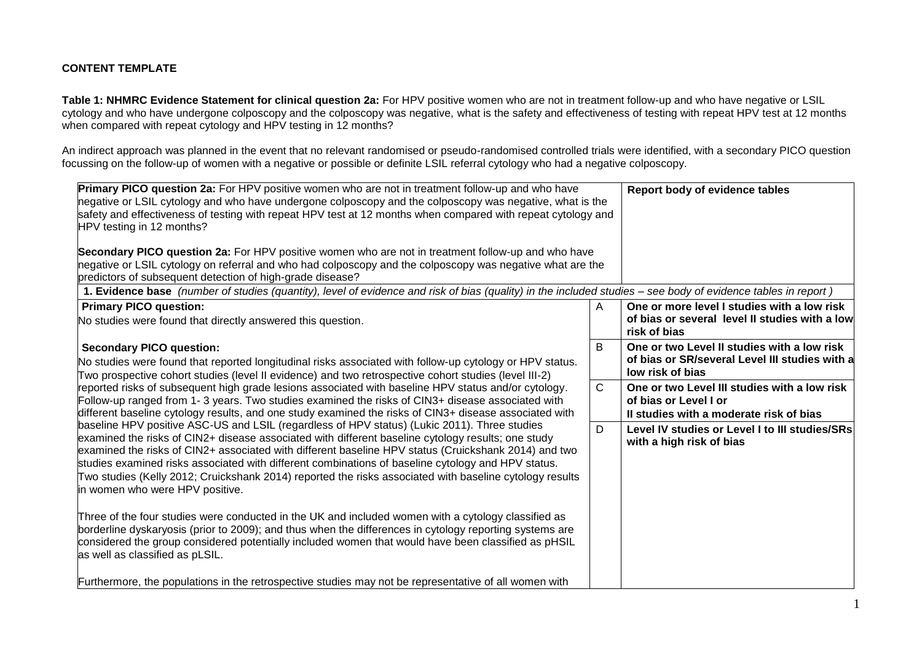# **CONTENT TEMPLATE**

**Table 1: NHMRC Evidence Statement for clinical question 2a:** For HPV positive women who are not in treatment follow-up and who have negative or LSIL cytology and who have undergone colposcopy and the colposcopy was negative, what is the safety and effectiveness of testing with repeat HPV test at 12 months when compared with repeat cytology and HPV testing in 12 months?

An indirect approach was planned in the event that no relevant randomised or pseudo-randomised controlled trials were identified, with a secondary PICO question focussing on the follow-up of women with a negative or possible or definite LSIL referral cytology who had a negative colposcopy.

| <b>Primary PICO question 2a:</b> For HPV positive women who are not in treatment follow-up and who have<br>negative or LSIL cytology and who have undergone colposcopy and the colposcopy was negative, what is the<br>safety and effectiveness of testing with repeat HPV test at 12 months when compared with repeat cytology and<br>HPV testing in 12 months?                                                                                                                                                                                                           | Report body of evidence tables |                                                                                                                   |
|----------------------------------------------------------------------------------------------------------------------------------------------------------------------------------------------------------------------------------------------------------------------------------------------------------------------------------------------------------------------------------------------------------------------------------------------------------------------------------------------------------------------------------------------------------------------------|--------------------------------|-------------------------------------------------------------------------------------------------------------------|
| Secondary PICO question 2a: For HPV positive women who are not in treatment follow-up and who have<br>negative or LSIL cytology on referral and who had colposcopy and the colposcopy was negative what are the<br>predictors of subsequent detection of high-grade disease?                                                                                                                                                                                                                                                                                               |                                |                                                                                                                   |
| 1. Evidence base (number of studies (quantity), level of evidence and risk of bias (quality) in the included studies - see body of evidence tables in report)                                                                                                                                                                                                                                                                                                                                                                                                              |                                |                                                                                                                   |
| <b>Primary PICO question:</b><br>No studies were found that directly answered this question.                                                                                                                                                                                                                                                                                                                                                                                                                                                                               | $\mathsf{A}$                   | One or more level I studies with a low risk<br>of bias or several level II studies with a low<br>risk of bias     |
| <b>Secondary PICO question:</b><br>No studies were found that reported longitudinal risks associated with follow-up cytology or HPV status.<br>Two prospective cohort studies (level II evidence) and two retrospective cohort studies (level III-2)<br>reported risks of subsequent high grade lesions associated with baseline HPV status and/or cytology.<br>Follow-up ranged from 1-3 years. Two studies examined the risks of CIN3+ disease associated with<br>different baseline cytology results, and one study examined the risks of CIN3+ disease associated with | B                              | One or two Level II studies with a low risk<br>of bias or SR/several Level III studies with a<br>low risk of bias |
|                                                                                                                                                                                                                                                                                                                                                                                                                                                                                                                                                                            | $\mathsf{C}$                   | One or two Level III studies with a low risk<br>of bias or Level I or<br>Il studies with a moderate risk of bias  |
| baseline HPV positive ASC-US and LSIL (regardless of HPV status) (Lukic 2011). Three studies<br>examined the risks of CIN2+ disease associated with different baseline cytology results; one study<br>examined the risks of CIN2+ associated with different baseline HPV status (Cruickshank 2014) and two<br>studies examined risks associated with different combinations of baseline cytology and HPV status.<br>Two studies (Kelly 2012; Cruickshank 2014) reported the risks associated with baseline cytology results<br>in women who were HPV positive.             |                                | Level IV studies or Level I to III studies/SRs<br>with a high risk of bias                                        |
| Three of the four studies were conducted in the UK and included women with a cytology classified as<br>borderline dyskaryosis (prior to 2009); and thus when the differences in cytology reporting systems are<br>considered the group considered potentially included women that would have been classified as pHSIL<br>as well as classified as pLSIL.                                                                                                                                                                                                                   |                                |                                                                                                                   |
| Furthermore, the populations in the retrospective studies may not be representative of all women with                                                                                                                                                                                                                                                                                                                                                                                                                                                                      |                                |                                                                                                                   |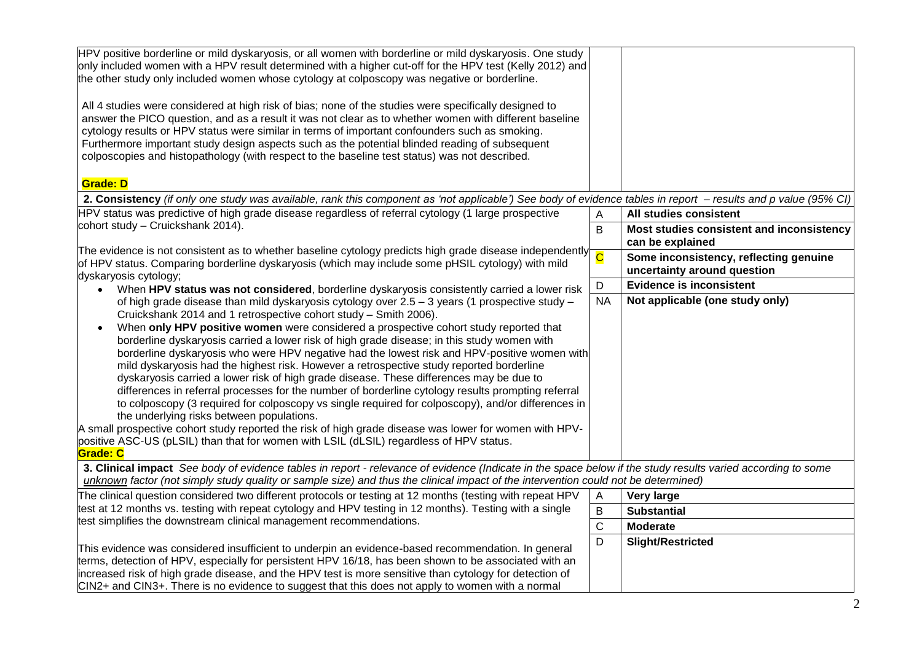| HPV positive borderline or mild dyskaryosis, or all women with borderline or mild dyskaryosis. One study<br>only included women with a HPV result determined with a higher cut-off for the HPV test (Kelly 2012) and                                                                                                                                                                                                       |                |                                                                       |
|----------------------------------------------------------------------------------------------------------------------------------------------------------------------------------------------------------------------------------------------------------------------------------------------------------------------------------------------------------------------------------------------------------------------------|----------------|-----------------------------------------------------------------------|
| the other study only included women whose cytology at colposcopy was negative or borderline.                                                                                                                                                                                                                                                                                                                               |                |                                                                       |
| All 4 studies were considered at high risk of bias; none of the studies were specifically designed to                                                                                                                                                                                                                                                                                                                      |                |                                                                       |
| answer the PICO question, and as a result it was not clear as to whether women with different baseline<br>cytology results or HPV status were similar in terms of important confounders such as smoking.                                                                                                                                                                                                                   |                |                                                                       |
| Furthermore important study design aspects such as the potential blinded reading of subsequent                                                                                                                                                                                                                                                                                                                             |                |                                                                       |
| colposcopies and histopathology (with respect to the baseline test status) was not described.                                                                                                                                                                                                                                                                                                                              |                |                                                                       |
| <b>Grade: D</b>                                                                                                                                                                                                                                                                                                                                                                                                            |                |                                                                       |
| 2. Consistency (if only one study was available, rank this component as 'not applicable') See body of evidence tables in report – results and p value (95% CI)                                                                                                                                                                                                                                                             |                |                                                                       |
| HPV status was predictive of high grade disease regardless of referral cytology (1 large prospective                                                                                                                                                                                                                                                                                                                       | Α              | All studies consistent                                                |
| cohort study - Cruickshank 2014).<br>The evidence is not consistent as to whether baseline cytology predicts high grade disease independently $\boxed{\texttt{C}}$<br>of HPV status. Comparing borderline dyskaryosis (which may include some pHSIL cytology) with mild<br>dyskaryosis cytology;                                                                                                                           | B              | Most studies consistent and inconsistency<br>can be explained         |
|                                                                                                                                                                                                                                                                                                                                                                                                                            |                | Some inconsistency, reflecting genuine<br>uncertainty around question |
| • When HPV status was not considered, borderline dyskaryosis consistently carried a lower risk                                                                                                                                                                                                                                                                                                                             | D              | <b>Evidence is inconsistent</b>                                       |
| of high grade disease than mild dyskaryosis cytology over $2.5 - 3$ years (1 prospective study –<br>Cruickshank 2014 and 1 retrospective cohort study - Smith 2006).                                                                                                                                                                                                                                                       | <b>NA</b>      | Not applicable (one study only)                                       |
| When only HPV positive women were considered a prospective cohort study reported that<br>$\bullet$                                                                                                                                                                                                                                                                                                                         |                |                                                                       |
| borderline dyskaryosis carried a lower risk of high grade disease; in this study women with<br>borderline dyskaryosis who were HPV negative had the lowest risk and HPV-positive women with                                                                                                                                                                                                                                |                |                                                                       |
| mild dyskaryosis had the highest risk. However a retrospective study reported borderline                                                                                                                                                                                                                                                                                                                                   |                |                                                                       |
| dyskaryosis carried a lower risk of high grade disease. These differences may be due to                                                                                                                                                                                                                                                                                                                                    |                |                                                                       |
| differences in referral processes for the number of borderline cytology results prompting referral                                                                                                                                                                                                                                                                                                                         |                |                                                                       |
| to colposcopy (3 required for colposcopy vs single required for colposcopy), and/or differences in<br>the underlying risks between populations.                                                                                                                                                                                                                                                                            |                |                                                                       |
| A small prospective cohort study reported the risk of high grade disease was lower for women with HPV-                                                                                                                                                                                                                                                                                                                     |                |                                                                       |
| positive ASC-US (pLSIL) than that for women with LSIL (dLSIL) regardless of HPV status.<br><b>Grade: C</b>                                                                                                                                                                                                                                                                                                                 |                |                                                                       |
| 3. Clinical impact See body of evidence tables in report - relevance of evidence (Indicate in the space below if the study results varied according to some                                                                                                                                                                                                                                                                |                |                                                                       |
| unknown factor (not simply study quality or sample size) and thus the clinical impact of the intervention could not be determined)                                                                                                                                                                                                                                                                                         |                |                                                                       |
| The clinical question considered two different protocols or testing at 12 months (testing with repeat HPV<br>test at 12 months vs. testing with repeat cytology and HPV testing in 12 months). Testing with a single                                                                                                                                                                                                       | $\overline{A}$ | <b>Very large</b>                                                     |
| test simplifies the downstream clinical management recommendations.                                                                                                                                                                                                                                                                                                                                                        | B              | <b>Substantial</b>                                                    |
|                                                                                                                                                                                                                                                                                                                                                                                                                            | $\mathsf C$    | <b>Moderate</b>                                                       |
| This evidence was considered insufficient to underpin an evidence-based recommendation. In general<br>terms, detection of HPV, especially for persistent HPV 16/18, has been shown to be associated with an<br>increased risk of high grade disease, and the HPV test is more sensitive than cytology for detection of<br>CIN2+ and CIN3+. There is no evidence to suggest that this does not apply to women with a normal | D              | Slight/Restricted                                                     |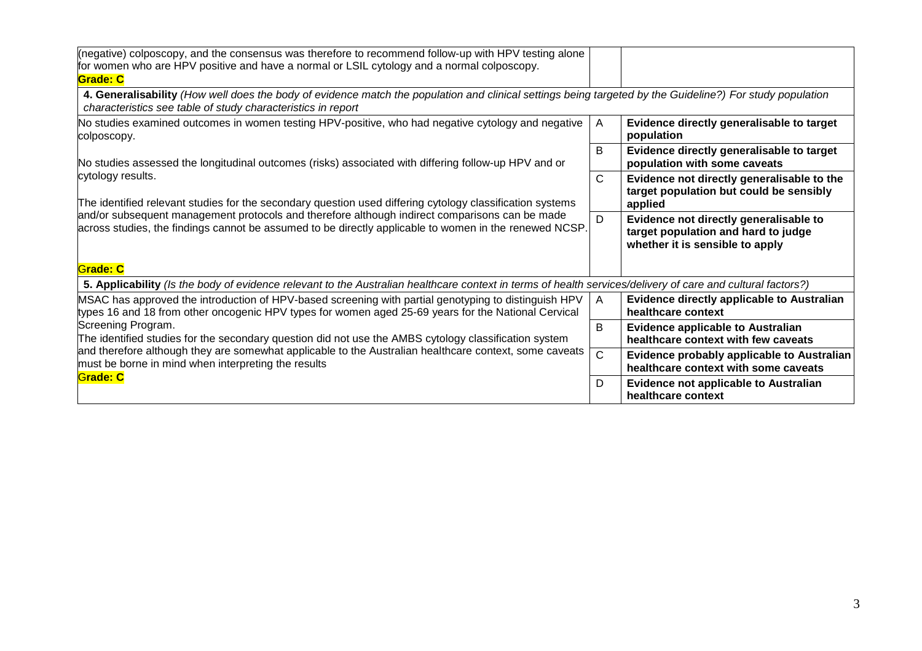| (negative) colposcopy, and the consensus was therefore to recommend follow-up with HPV testing alone<br>for women who are HPV positive and have a normal or LSIL cytology and a normal colposcopy.<br><b>Grade: C</b>                                                                                                                                                                                                                                                                                                                                                   |              |                                                                                                                  |
|-------------------------------------------------------------------------------------------------------------------------------------------------------------------------------------------------------------------------------------------------------------------------------------------------------------------------------------------------------------------------------------------------------------------------------------------------------------------------------------------------------------------------------------------------------------------------|--------------|------------------------------------------------------------------------------------------------------------------|
| 4. Generalisability (How well does the body of evidence match the population and clinical settings being targeted by the Guideline?) For study population<br>characteristics see table of study characteristics in report                                                                                                                                                                                                                                                                                                                                               |              |                                                                                                                  |
| No studies examined outcomes in women testing HPV-positive, who had negative cytology and negative<br>colposcopy.<br>No studies assessed the longitudinal outcomes (risks) associated with differing follow-up HPV and or<br>cytology results.<br>The identified relevant studies for the secondary question used differing cytology classification systems<br>and/or subsequent management protocols and therefore although indirect comparisons can be made<br>across studies, the findings cannot be assumed to be directly applicable to women in the renewed NCSP. | A            | Evidence directly generalisable to target<br>population                                                          |
|                                                                                                                                                                                                                                                                                                                                                                                                                                                                                                                                                                         | B            | Evidence directly generalisable to target<br>population with some caveats                                        |
|                                                                                                                                                                                                                                                                                                                                                                                                                                                                                                                                                                         | $\mathsf{C}$ | Evidence not directly generalisable to the<br>target population but could be sensibly<br>applied                 |
|                                                                                                                                                                                                                                                                                                                                                                                                                                                                                                                                                                         | D            | Evidence not directly generalisable to<br>target population and hard to judge<br>whether it is sensible to apply |
| Grade: C                                                                                                                                                                                                                                                                                                                                                                                                                                                                                                                                                                |              |                                                                                                                  |
| 5. Applicability (Is the body of evidence relevant to the Australian healthcare context in terms of health services/delivery of care and cultural factors?)                                                                                                                                                                                                                                                                                                                                                                                                             |              |                                                                                                                  |
| MSAC has approved the introduction of HPV-based screening with partial genotyping to distinguish HPV<br>types 16 and 18 from other oncogenic HPV types for women aged 25-69 years for the National Cervical                                                                                                                                                                                                                                                                                                                                                             | A            | <b>Evidence directly applicable to Australian</b><br>healthcare context                                          |
| Screening Program.<br>The identified studies for the secondary question did not use the AMBS cytology classification system<br>and therefore although they are somewhat applicable to the Australian healthcare context, some caveats<br>must be borne in mind when interpreting the results                                                                                                                                                                                                                                                                            | B            | <b>Evidence applicable to Australian</b><br>healthcare context with few caveats                                  |
|                                                                                                                                                                                                                                                                                                                                                                                                                                                                                                                                                                         | $\mathsf{C}$ | Evidence probably applicable to Australian<br>healthcare context with some caveats                               |
| <b>Grade: C</b>                                                                                                                                                                                                                                                                                                                                                                                                                                                                                                                                                         |              | <b>Evidence not applicable to Australian</b><br>healthcare context                                               |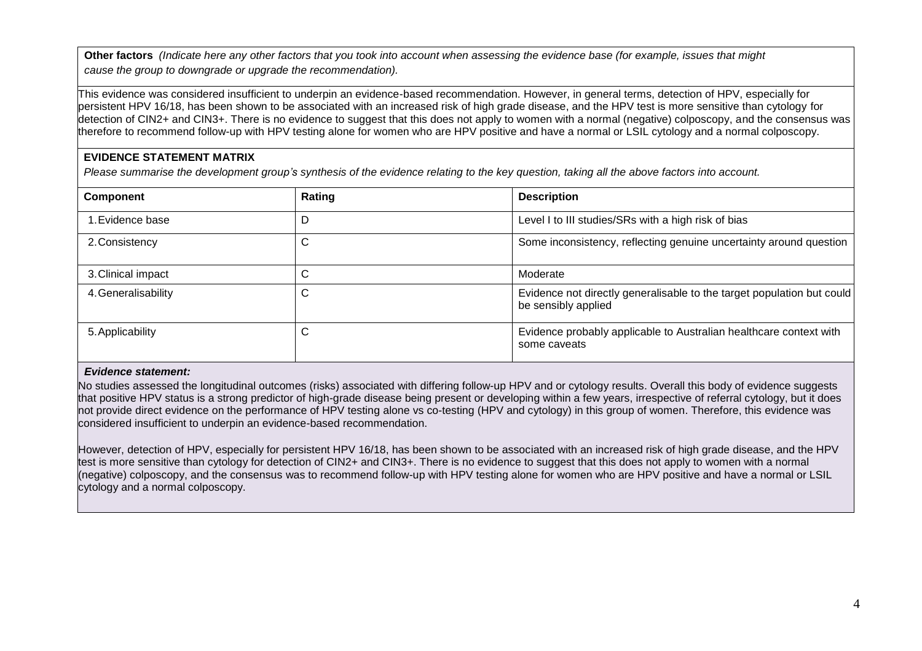Other factors (Indicate here any other factors that you took into account when assessing the evidence base (for example, issues that might  *cause the group to downgrade or upgrade the recommendation).*

This evidence was considered insufficient to underpin an evidence-based recommendation. However, in general terms, detection of HPV, especially for persistent HPV 16/18, has been shown to be associated with an increased risk of high grade disease, and the HPV test is more sensitive than cytology for detection of CIN2+ and CIN3+. There is no evidence to suggest that this does not apply to women with a normal (negative) colposcopy, and the consensus was therefore to recommend follow-up with HPV testing alone for women who are HPV positive and have a normal or LSIL cytology and a normal colposcopy.

# **EVIDENCE STATEMENT MATRIX**

Please summarise the development group's synthesis of the evidence relating to the key question, taking all the above factors into account.

| <b>Component</b>    | Rating | <b>Description</b>                                                                            |
|---------------------|--------|-----------------------------------------------------------------------------------------------|
| 1. Evidence base    | D      | Level I to III studies/SRs with a high risk of bias                                           |
| 2. Consistency      | С      | Some inconsistency, reflecting genuine uncertainty around question                            |
| 3. Clinical impact  | U      | Moderate                                                                                      |
| 4. Generalisability | С      | Evidence not directly generalisable to the target population but could<br>be sensibly applied |
| 5. Applicability    | С      | Evidence probably applicable to Australian healthcare context with<br>some caveats            |

### *Evidence statement:*

No studies assessed the longitudinal outcomes (risks) associated with differing follow-up HPV and or cytology results. Overall this body of evidence suggests that positive HPV status is a strong predictor of high-grade disease being present or developing within a few years, irrespective of referral cytology, but it does not provide direct evidence on the performance of HPV testing alone vs co-testing (HPV and cytology) in this group of women. Therefore, this evidence was considered insufficient to underpin an evidence-based recommendation.

However, detection of HPV, especially for persistent HPV 16/18, has been shown to be associated with an increased risk of high grade disease, and the HPV test is more sensitive than cytology for detection of CIN2+ and CIN3+. There is no evidence to suggest that this does not apply to women with a normal (negative) colposcopy, and the consensus was to recommend follow-up with HPV testing alone for women who are HPV positive and have a normal or LSIL cytology and a normal colposcopy.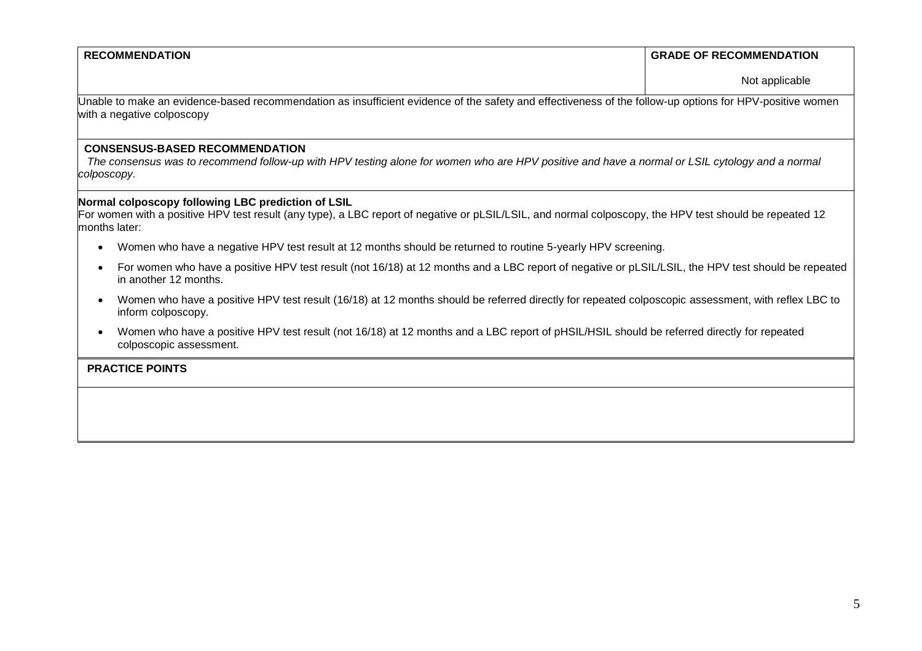| <b>RECOMMENDATION</b> | <b>GRADE OF RECOMMENDATION</b> |
|-----------------------|--------------------------------|
|                       |                                |

Not applicable

Unable to make an evidence-based recommendation as insufficient evidence of the safety and effectiveness of the follow-up options for HPV-positive women with a negative colposcopy

#### **CONSENSUS-BASED RECOMMENDATION**

 *The consensus was to recommend follow-up with HPV testing alone for women who are HPV positive and have a normal or LSIL cytology and a normal colposcopy.*

### **Normal colposcopy following LBC prediction of LSIL**

For women with a positive HPV test result (any type), a LBC report of negative or pLSIL/LSIL, and normal colposcopy, the HPV test should be repeated 12 months later:

- Women who have a negative HPV test result at 12 months should be returned to routine 5-yearly HPV screening.
- For women who have a positive HPV test result (not 16/18) at 12 months and a LBC report of negative or pLSIL/LSIL, the HPV test should be repeated in another 12 months.
- Women who have a positive HPV test result (16/18) at 12 months should be referred directly for repeated colposcopic assessment, with reflex LBC to inform colposcopy.
- Women who have a positive HPV test result (not 16/18) at 12 months and a LBC report of pHSIL/HSIL should be referred directly for repeated colposcopic assessment.

 **PRACTICE POINTS**